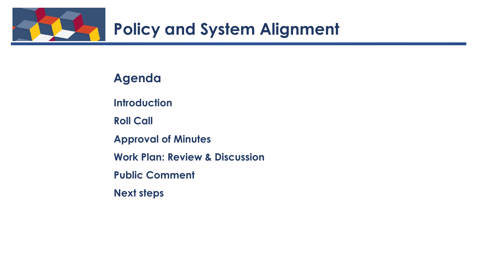

# **Agenda**

**Introduction** 

**Roll Call**

**Approval of Minutes**

**Work Plan: Review & Discussion** 

**Public Comment**

**Next steps**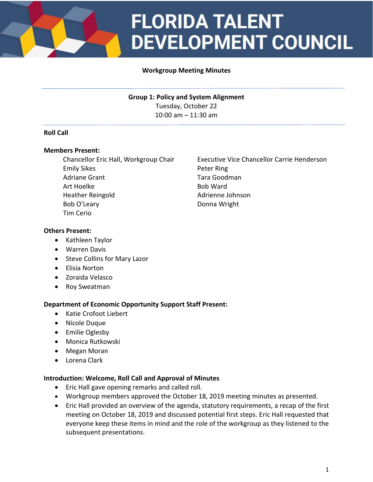

# **FLORIDA TALENT DEVELOPMENT COUNCIL**

## **Workgroup Meeting Minutes**

**Group 1: Policy and System Alignment** Tuesday, October 22 10:00 am – 11:30 am

### **Roll Call**

### **Members Present:**

Emily Sikes **Peter Ring** Adriane Grant Tara Goodman Art Hoelke Bob Ward Heather Reingold **Adrience Johnson** Bob O'Leary **Donna Wright** Tim Cerio

Chancellor Eric Hall, Workgroup Chair Executive Vice Chancellor Carrie Henderson

### **Others Present:**

- Kathleen Taylor
- Warren Davis
- Steve Collins for Mary Lazor
- Elisia Norton
- Zoraida Velasco
- Roy Sweatman

### **Department of Economic Opportunity Support Staff Present:**

- Katie Crofoot Liebert
- Nicole Duque
- Emilie Oglesby
- Monica Rutkowski
- Megan Moran
- Lorena Clark

#### **Introduction: Welcome, Roll Call and Approval of Minutes**

- Eric Hall gave opening remarks and called roll.
- Workgroup members approved the October 18, 2019 meeting minutes as presented.
- Eric Hall provided an overview of the agenda, statutory requirements, a recap of the first meeting on October 18, 2019 and discussed potential first steps. Eric Hall requested that everyone keep these items in mind and the role of the workgroup as they listened to the subsequent presentations.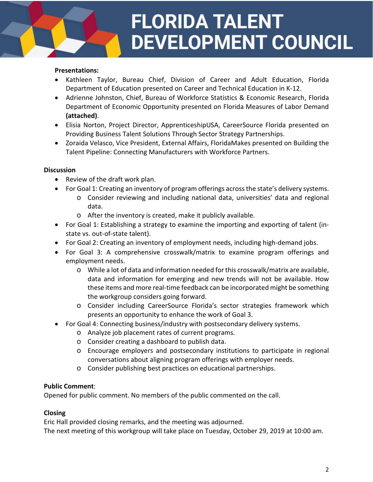# **FLORIDA TALENT DEVELOPMENT COUNCIL**

### **Presentations:**

- Kathleen Taylor, Bureau Chief, Division of Career and Adult Education, Florida Department of Education presented on Career and Technical Education in K-12.
- Adrienne Johnston, Chief, Bureau of Workforce Statistics & Economic Research, Florida Department of Economic Opportunity presented on Florida Measures of Labor Demand **(attached)**.
- Elisia Norton, Project Director, ApprenticeshipUSA, CareerSource Florida presented on Providing Business Talent Solutions Through Sector Strategy Partnerships.
- Zoraida Velasco, Vice President, External Affairs, FloridaMakes presented on Building the Talent Pipeline: Connecting Manufacturers with Workforce Partners.

### **Discussion**

- Review of the draft work plan.
- For Goal 1: Creating an inventory of program offerings across the state's delivery systems.
	- o Consider reviewing and including national data, universities' data and regional data.
	- o After the inventory is created, make it publicly available.
- For Goal 1: Establishing a strategy to examine the importing and exporting of talent (instate vs. out-of-state talent).
- For Goal 2: Creating an inventory of employment needs, including high-demand jobs.
- For Goal 3: A comprehensive crosswalk/matrix to examine program offerings and employment needs.
	- o While a lot of data and information needed for this crosswalk/matrix are available, data and information for emerging and new trends will not be available. How these items and more real-time feedback can be incorporated might be something the workgroup considers going forward.
	- o Consider including CareerSource Florida's sector strategies framework which presents an opportunity to enhance the work of Goal 3.
- For Goal 4: Connecting business/industry with postsecondary delivery systems.
	- o Analyze job placement rates of current programs.
	- o Consider creating a dashboard to publish data.
	- o Encourage employers and postsecondary institutions to participate in regional conversations about aligning program offerings with employer needs.
	- o Consider publishing best practices on educational partnerships.

# **Public Comment**:

Opened for public comment. No members of the public commented on the call.

# **Closing**

Eric Hall provided closing remarks, and the meeting was adjourned. The next meeting of this workgroup will take place on Tuesday, October 29, 2019 at 10:00 am.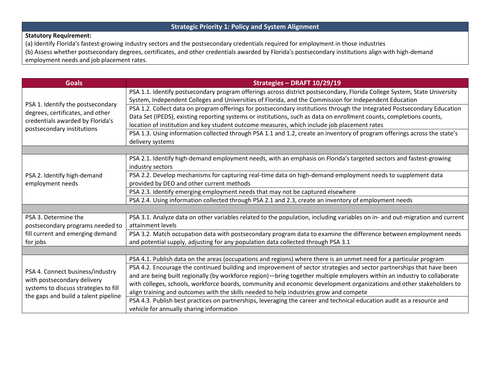# **Strategic Priority 1: Policy and System Alignment**

### **Statutory Requirement:**

(a) Identify Florida's fastest-growing industry sectors and the postsecondary credentials required for employment in those industries

(b) Assess whether postsecondary degrees, certificates, and other credentials awarded by Florida's postsecondary institutions align with high-demand employment needs and job placement rates.

| <b>Goals</b>                                                                                                                                     | Strategies - DRAFT 10/29/19                                                                                                                                                                                                                      |  |  |  |  |
|--------------------------------------------------------------------------------------------------------------------------------------------------|--------------------------------------------------------------------------------------------------------------------------------------------------------------------------------------------------------------------------------------------------|--|--|--|--|
| PSA 1. Identify the postsecondary<br>degrees, certificates, and other<br>credentials awarded by Florida's<br>postsecondary institutions          | PSA 1.1. Identify postsecondary program offerings across district postsecondary, Florida College System, State University<br>System, Independent Colleges and Universities of Florida, and the Commission for Independent Education              |  |  |  |  |
|                                                                                                                                                  | PSA 1.2. Collect data on program offerings for postsecondary institutions through the Integrated Postsecondary Education<br>Data Set (IPEDS), existing reporting systems or institutions, such as data on enrollment counts, completions counts, |  |  |  |  |
|                                                                                                                                                  | location of institution and key student outcome measures, which include job placement rates                                                                                                                                                      |  |  |  |  |
|                                                                                                                                                  | PSA 1.3. Using information collected through PSA 1.1 and 1.2, create an inventory of program offerings across the state's<br>delivery systems                                                                                                    |  |  |  |  |
|                                                                                                                                                  |                                                                                                                                                                                                                                                  |  |  |  |  |
| PSA 2. Identify high-demand<br>employment needs                                                                                                  | PSA 2.1. Identify high-demand employment needs, with an emphasis on Florida's targeted sectors and fastest-growing<br>industry sectors                                                                                                           |  |  |  |  |
|                                                                                                                                                  | PSA 2.2. Develop mechanisms for capturing real-time data on high-demand employment needs to supplement data<br>provided by DEO and other current methods                                                                                         |  |  |  |  |
|                                                                                                                                                  | PSA 2.3. Identify emerging employment needs that may not be captured elsewhere                                                                                                                                                                   |  |  |  |  |
|                                                                                                                                                  | PSA 2.4. Using information collected through PSA 2.1 and 2.3, create an inventory of employment needs                                                                                                                                            |  |  |  |  |
|                                                                                                                                                  |                                                                                                                                                                                                                                                  |  |  |  |  |
| PSA 3. Determine the<br>postsecondary programs needed to<br>fill current and emerging demand<br>for jobs                                         | PSA 3.1. Analyze data on other variables related to the population, including variables on in- and out-migration and current<br>attainment levels                                                                                                |  |  |  |  |
|                                                                                                                                                  | PSA 3.2. Match occupation data with postsecondary program data to examine the difference between employment needs<br>and potential supply, adjusting for any population data collected through PSA 3.1                                           |  |  |  |  |
|                                                                                                                                                  |                                                                                                                                                                                                                                                  |  |  |  |  |
| PSA 4. Connect business/industry<br>with postsecondary delivery<br>systems to discuss strategies to fill<br>the gaps and build a talent pipeline | PSA 4.1. Publish data on the areas (occupations and regions) where there is an unmet need for a particular program                                                                                                                               |  |  |  |  |
|                                                                                                                                                  | PSA 4.2. Encourage the continued building and improvement of sector strategies and sector partnerships that have been                                                                                                                            |  |  |  |  |
|                                                                                                                                                  | and are being built regionally (by workforce region)—bring together multiple employers within an industry to collaborate                                                                                                                         |  |  |  |  |
|                                                                                                                                                  | with colleges, schools, workforce boards, community and economic development organizations and other stakeholders to                                                                                                                             |  |  |  |  |
|                                                                                                                                                  | align training and outcomes with the skills needed to help industries grow and compete                                                                                                                                                           |  |  |  |  |
|                                                                                                                                                  | PSA 4.3. Publish best practices on partnerships, leveraging the career and technical education audit as a resource and                                                                                                                           |  |  |  |  |
|                                                                                                                                                  | vehicle for annually sharing information                                                                                                                                                                                                         |  |  |  |  |